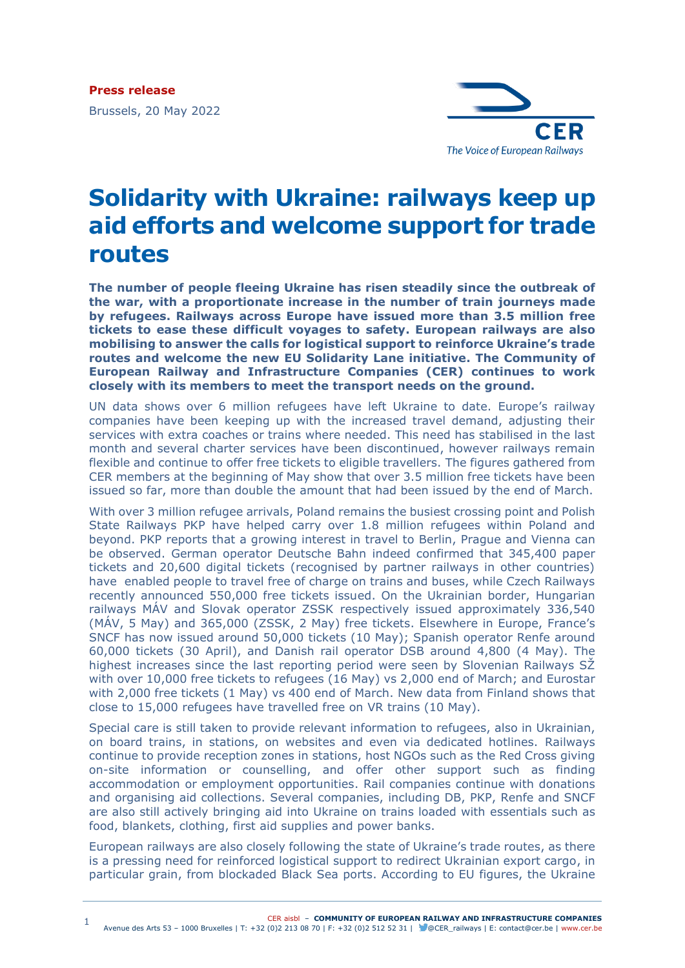

## **Solidarity with Ukraine: railways keep up aid efforts and welcome support for trade routes**

**The number of people fleeing Ukraine has risen steadily since the outbreak of the war, with a proportionate increase in the number of train journeys made by refugees. Railways across Europe have issued more than 3.5 million free tickets to ease these difficult voyages to safety. European railways are also mobilising to answer the calls for logistical support to reinforce Ukraine's trade routes and welcome the new EU Solidarity Lane initiative. The Community of European Railway and Infrastructure Companies (CER) continues to work closely with its members to meet the transport needs on the ground.**

UN data shows over 6 million refugees have left Ukraine to date. Europe's railway companies have been keeping up with the increased travel demand, adjusting their services with extra coaches or trains where needed. This need has stabilised in the last month and several charter services have been discontinued, however railways remain flexible and continue to offer free tickets to eligible travellers. The figures gathered from CER members at the beginning of May show that over 3.5 million free tickets have been issued so far, more than double the amount that had been issued by the end of March.

With over 3 million refugee arrivals, Poland remains the busiest crossing point and Polish State Railways PKP have helped carry over 1.8 million refugees within Poland and beyond. PKP reports that a growing interest in travel to Berlin, Prague and Vienna can be observed. German operator Deutsche Bahn indeed confirmed that 345,400 paper tickets and 20,600 digital tickets (recognised by partner railways in other countries) have enabled people to travel free of charge on trains and buses, while Czech Railways recently announced 550,000 free tickets issued. On the Ukrainian border, Hungarian railways MÁV and Slovak operator ZSSK respectively issued approximately 336,540 (MÁV, 5 May) and 365,000 (ZSSK, 2 May) free tickets. Elsewhere in Europe, France's SNCF has now issued around 50,000 tickets (10 May); Spanish operator Renfe around 60,000 tickets (30 April), and Danish rail operator DSB around 4,800 (4 May). The highest increases since the last reporting period were seen by Slovenian Railways SŽ with over 10,000 free tickets to refugees (16 May) vs 2,000 end of March; and Eurostar with 2,000 free tickets (1 May) vs 400 end of March. New data from Finland shows that close to 15,000 refugees have travelled free on VR trains (10 May).

Special care is still taken to provide relevant information to refugees, also in Ukrainian, on board trains, in stations, on websites and even via dedicated hotlines. Railways continue to provide reception zones in stations, host NGOs such as the Red Cross giving on-site information or counselling, and offer other support such as finding accommodation or employment opportunities. Rail companies continue with donations and organising aid collections. Several companies, including DB, PKP, Renfe and SNCF are also still actively bringing aid into Ukraine on trains loaded with essentials such as food, blankets, clothing, first aid supplies and power banks.

European railways are also closely following the state of Ukraine's trade routes, as there is a pressing need for reinforced logistical support to redirect Ukrainian export cargo, in particular grain, from blockaded Black Sea ports. According to EU figures, the Ukraine

CER aisbl ‒ **COMMUNITY OF EUROPEAN RAILWAY AND INFRASTRUCTURE COMPANIES**

Avenue des Arts 53 – 1000 Bruxelles | T: +32 (0)2 213 08 70 | F: +32 (0)2 512 52 31 | @CER\_railways | E: contact@cer.be | www.cer.be 1